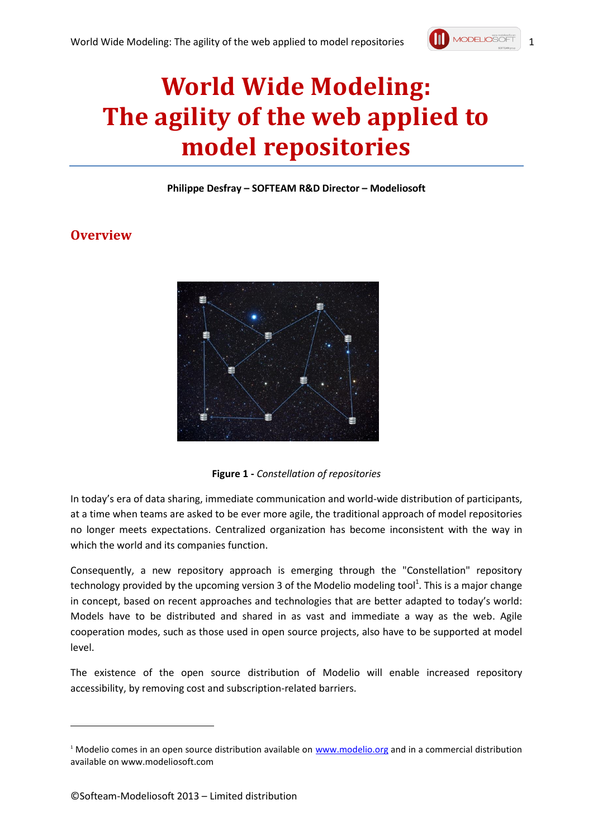

# **World Wide Modeling: The agility of the web applied to model repositories**

#### **Philippe Desfray – SOFTEAM R&D Director – Modeliosoft**

#### **Overview**



**Figure 1 -** *Constellation of repositories*

In today's era of data sharing, immediate communication and world-wide distribution of participants, at a time when teams are asked to be ever more agile, the traditional approach of model repositories no longer meets expectations. Centralized organization has become inconsistent with the way in which the world and its companies function.

Consequently, a new repository approach is emerging through the "Constellation" repository technology provided by the upcoming version 3 of the Modelio modeling tool<sup>1</sup>. This is a major change in concept, based on recent approaches and technologies that are better adapted to today's world: Models have to be distributed and shared in as vast and immediate a way as the web. Agile cooperation modes, such as those used in open source projects, also have to be supported at model level.

The existence of the open source distribution of Modelio will enable increased repository accessibility, by removing cost and subscription-related barriers.

**.** 

<sup>&</sup>lt;sup>1</sup> Modelio comes in an open source distribution available on [www.modelio.org](http://www.modelio.org/) and in a commercial distribution available on www.modeliosoft.com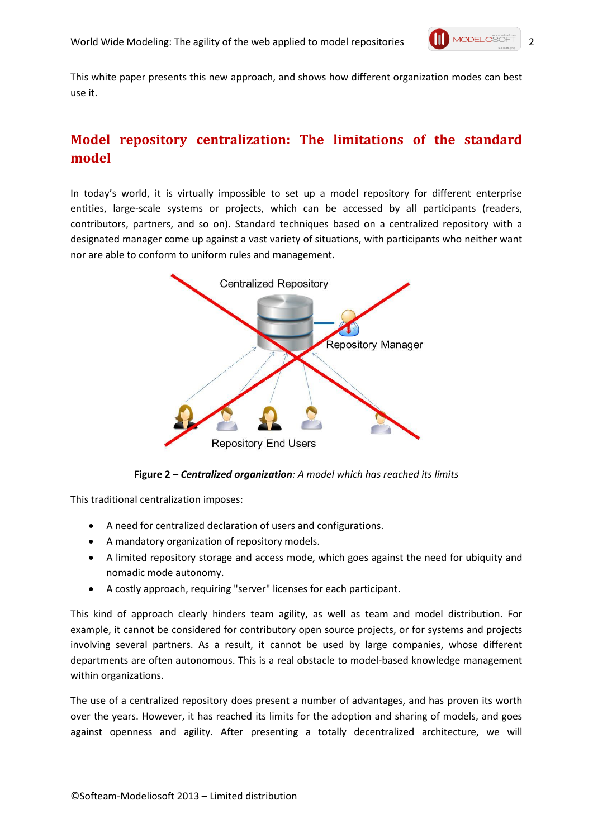This white paper presents this new approach, and shows how different organization modes can best use it.

# **Model repository centralization: The limitations of the standard model**

In today's world, it is virtually impossible to set up a model repository for different enterprise entities, large-scale systems or projects, which can be accessed by all participants (readers, contributors, partners, and so on). Standard techniques based on a centralized repository with a designated manager come up against a vast variety of situations, with participants who neither want nor are able to conform to uniform rules and management.



**Figure 2 –** *Centralized organization: A model which has reached its limits*

This traditional centralization imposes:

- A need for centralized declaration of users and configurations.
- A mandatory organization of repository models.
- A limited repository storage and access mode, which goes against the need for ubiquity and nomadic mode autonomy.
- A costly approach, requiring "server" licenses for each participant.

This kind of approach clearly hinders team agility, as well as team and model distribution. For example, it cannot be considered for contributory open source projects, or for systems and projects involving several partners. As a result, it cannot be used by large companies, whose different departments are often autonomous. This is a real obstacle to model-based knowledge management within organizations.

The use of a centralized repository does present a number of advantages, and has proven its worth over the years. However, it has reached its limits for the adoption and sharing of models, and goes against openness and agility. After presenting a totally decentralized architecture, we will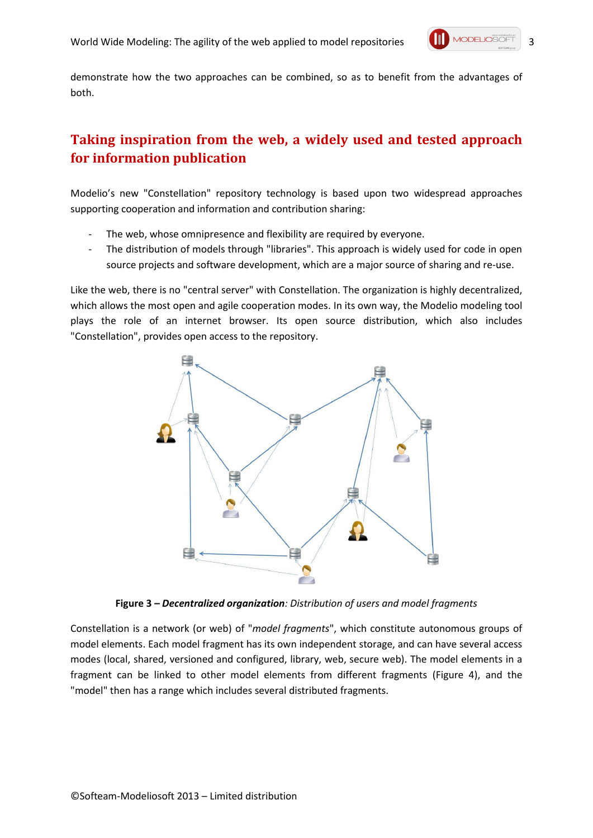demonstrate how the two approaches can be combined, so as to benefit from the advantages of both.

# **Taking inspiration from the web, a widely used and tested approach for information publication**

Modelio's new "Constellation" repository technology is based upon two widespread approaches supporting cooperation and information and contribution sharing:

- The web, whose omnipresence and flexibility are required by everyone.
- The distribution of models through "libraries". This approach is widely used for code in open source projects and software development, which are a major source of sharing and re-use.

Like the web, there is no "central server" with Constellation. The organization is highly decentralized, which allows the most open and agile cooperation modes. In its own way, the Modelio modeling tool plays the role of an internet browser. Its open source distribution, which also includes "Constellation", provides open access to the repository.



**Figure 3** *– Decentralized organization: Distribution of users and model fragments*

Constellation is a network (or web) of "*model fragments*", which constitute autonomous groups of model elements. Each model fragment has its own independent storage, and can have several access modes (local, shared, versioned and configured, library, web, secure web). The model elements in a fragment can be linked to other model elements from different fragments (Figure 4), and the "model" then has a range which includes several distributed fragments.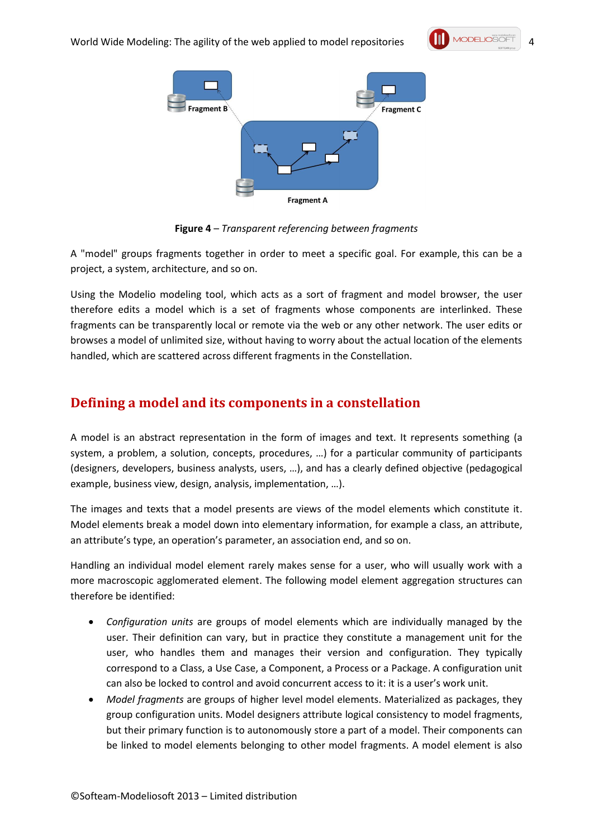



**Figure 4** – *Transparent referencing between fragments*

A "model" groups fragments together in order to meet a specific goal. For example, this can be a project, a system, architecture, and so on.

Using the Modelio modeling tool, which acts as a sort of fragment and model browser, the user therefore edits a model which is a set of fragments whose components are interlinked. These fragments can be transparently local or remote via the web or any other network. The user edits or browses a model of unlimited size, without having to worry about the actual location of the elements handled, which are scattered across different fragments in the Constellation.

# **Defining a model and its components in a constellation**

A model is an abstract representation in the form of images and text. It represents something (a system, a problem, a solution, concepts, procedures, …) for a particular community of participants (designers, developers, business analysts, users, …), and has a clearly defined objective (pedagogical example, business view, design, analysis, implementation, …).

The images and texts that a model presents are views of the model elements which constitute it. Model elements break a model down into elementary information, for example a class, an attribute, an attribute's type, an operation's parameter, an association end, and so on.

Handling an individual model element rarely makes sense for a user, who will usually work with a more macroscopic agglomerated element. The following model element aggregation structures can therefore be identified:

- *Configuration units* are groups of model elements which are individually managed by the user. Their definition can vary, but in practice they constitute a management unit for the user, who handles them and manages their version and configuration. They typically correspond to a Class, a Use Case, a Component, a Process or a Package. A configuration unit can also be locked to control and avoid concurrent access to it: it is a user's work unit.
- *Model fragments* are groups of higher level model elements. Materialized as packages, they group configuration units. Model designers attribute logical consistency to model fragments, but their primary function is to autonomously store a part of a model. Their components can be linked to model elements belonging to other model fragments. A model element is also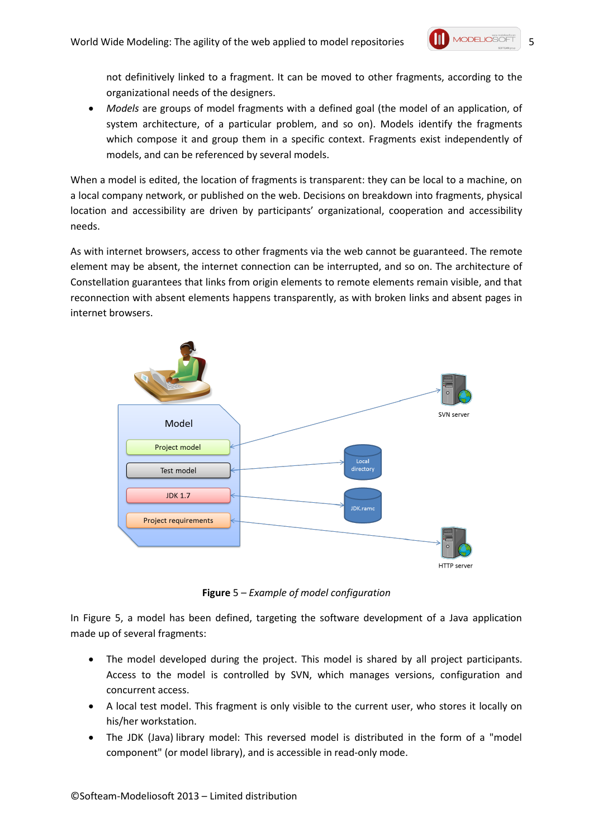not definitively linked to a fragment. It can be moved to other fragments, according to the organizational needs of the designers.

 *Models* are groups of model fragments with a defined goal (the model of an application, of system architecture, of a particular problem, and so on). Models identify the fragments which compose it and group them in a specific context. Fragments exist independently of models, and can be referenced by several models.

When a model is edited, the location of fragments is transparent: they can be local to a machine, on a local company network, or published on the web. Decisions on breakdown into fragments, physical location and accessibility are driven by participants' organizational, cooperation and accessibility needs.

As with internet browsers, access to other fragments via the web cannot be guaranteed. The remote element may be absent, the internet connection can be interrupted, and so on. The architecture of Constellation guarantees that links from origin elements to remote elements remain visible, and that reconnection with absent elements happens transparently, as with broken links and absent pages in internet browsers.



**Figure** 5 – *Example of model configuration*

In Figure 5, a model has been defined, targeting the software development of a Java application made up of several fragments:

- The model developed during the project. This model is shared by all project participants. Access to the model is controlled by SVN, which manages versions, configuration and concurrent access.
- A local test model. This fragment is only visible to the current user, who stores it locally on his/her workstation.
- The JDK (Java) library model: This reversed model is distributed in the form of a "model component" (or model library), and is accessible in read-only mode.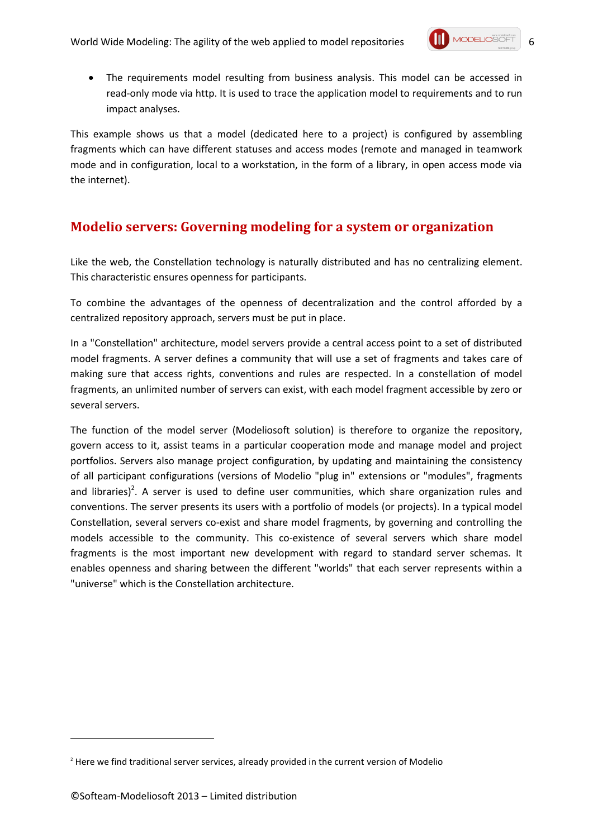The requirements model resulting from business analysis. This model can be accessed in read-only mode via http. It is used to trace the application model to requirements and to run impact analyses.

This example shows us that a model (dedicated here to a project) is configured by assembling fragments which can have different statuses and access modes (remote and managed in teamwork mode and in configuration, local to a workstation, in the form of a library, in open access mode via the internet).

# **Modelio servers: Governing modeling for a system or organization**

Like the web, the Constellation technology is naturally distributed and has no centralizing element. This characteristic ensures openness for participants.

To combine the advantages of the openness of decentralization and the control afforded by a centralized repository approach, servers must be put in place.

In a "Constellation" architecture, model servers provide a central access point to a set of distributed model fragments. A server defines a community that will use a set of fragments and takes care of making sure that access rights, conventions and rules are respected. In a constellation of model fragments, an unlimited number of servers can exist, with each model fragment accessible by zero or several servers.

The function of the model server (Modeliosoft solution) is therefore to organize the repository, govern access to it, assist teams in a particular cooperation mode and manage model and project portfolios. Servers also manage project configuration, by updating and maintaining the consistency of all participant configurations (versions of Modelio "plug in" extensions or "modules", fragments and libraries)<sup>2</sup>. A server is used to define user communities, which share organization rules and conventions. The server presents its users with a portfolio of models (or projects). In a typical model Constellation, several servers co-exist and share model fragments, by governing and controlling the models accessible to the community. This co-existence of several servers which share model fragments is the most important new development with regard to standard server schemas. It enables openness and sharing between the different "worlds" that each server represents within a "universe" which is the Constellation architecture.

1

<sup>&</sup>lt;sup>2</sup> Here we find traditional server services, already provided in the current version of Modelio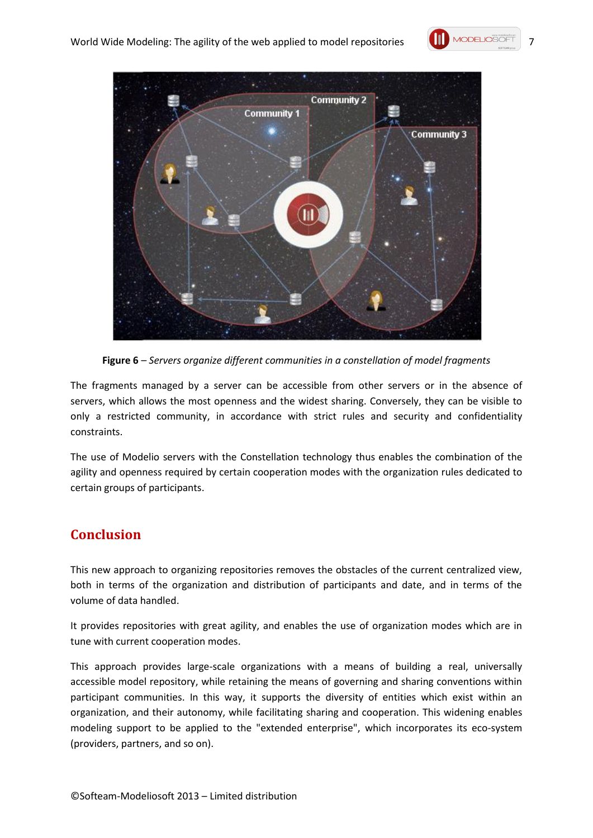



**Figure 6** – *Servers organize different communities in a constellation of model fragments*

The fragments managed by a server can be accessible from other servers or in the absence of servers, which allows the most openness and the widest sharing. Conversely, they can be visible to only a restricted community, in accordance with strict rules and security and confidentiality constraints.

The use of Modelio servers with the Constellation technology thus enables the combination of the agility and openness required by certain cooperation modes with the organization rules dedicated to certain groups of participants.

# **Conclusion**

This new approach to organizing repositories removes the obstacles of the current centralized view, both in terms of the organization and distribution of participants and date, and in terms of the volume of data handled.

It provides repositories with great agility, and enables the use of organization modes which are in tune with current cooperation modes.

This approach provides large-scale organizations with a means of building a real, universally accessible model repository, while retaining the means of governing and sharing conventions within participant communities. In this way, it supports the diversity of entities which exist within an organization, and their autonomy, while facilitating sharing and cooperation. This widening enables modeling support to be applied to the "extended enterprise", which incorporates its eco-system (providers, partners, and so on).